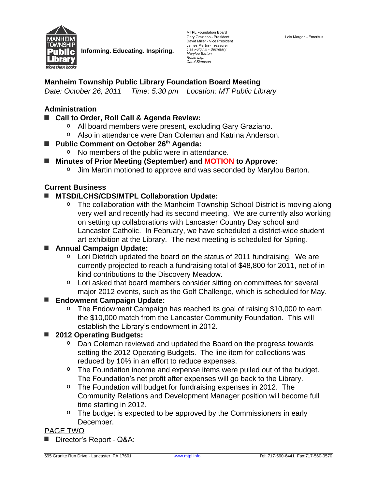

**Informing. Educating. Inspiring.**

MTPL Foundation Board Gary Graziano - President<br>David Miller - Vice President James Martin – Treasurer *Lisa Fulginiti - Secretary Marylou Barton Robin Lapi Carol Simpson*

### **Manheim Township Public Library Foundation Board Meeting**

*Date: October 26, 2011 Time: 5:30 pm Location: MT Public Library* 

#### **Administration**

- **■ Call to Order, Roll Call & Agenda Review:**
	- o All board members were present, excluding Gary Graziano.
	- o Also in attendance were Dan Coleman and Katrina Anderson.
- **Public Comment on October 26<sup>th</sup> Agenda:** 
	- o No members of the public were in attendance.
- **■ Minutes of Prior Meeting (September) and MOTION to Approve:**
	- o Jim Martin motioned to approve and was seconded by Marylou Barton.

#### **Current Business**

- **■ MTSD/LCHS/CDS/MTPL Collaboration Update:**
	- $\circ$  The collaboration with the Manheim Township School District is moving along very well and recently had its second meeting. We are currently also working on setting up collaborations with Lancaster Country Day school and Lancaster Catholic. In February, we have scheduled a district-wide student art exhibition at the Library. The next meeting is scheduled for Spring.

#### **■ Annual Campaign Update:**

- $\degree$  Lori Dietrich updated the board on the status of 2011 fundraising. We are currently projected to reach a fundraising total of \$48,800 for 2011, net of inkind contributions to the Discovery Meadow.
- o Lori asked that board members consider sitting on committees for several major 2012 events, such as the Golf Challenge, which is scheduled for May.

#### **■ Endowment Campaign Update:**

○ The Endowment Campaign has reached its goal of raising \$10,000 to earn the \$10,000 match from the Lancaster Community Foundation. This will establish the Library's endowment in 2012.

#### ■ **2012 Operating Budgets:**

- o Dan Coleman reviewed and updated the Board on the progress towards setting the 2012 Operating Budgets. The line item for collections was reduced by 10% in an effort to reduce expenses.
- <sup>o</sup> The Foundation income and expense items were pulled out of the budget. The Foundation's net profit after expenses will go back to the Library.
- $\degree$  The Foundation will budget for fundraising expenses in 2012. The Community Relations and Development Manager position will become full time starting in 2012.
- o The budget is expected to be approved by the Commissioners in early December.

#### PAGE TWO

**■** Director's Report – Q&A: